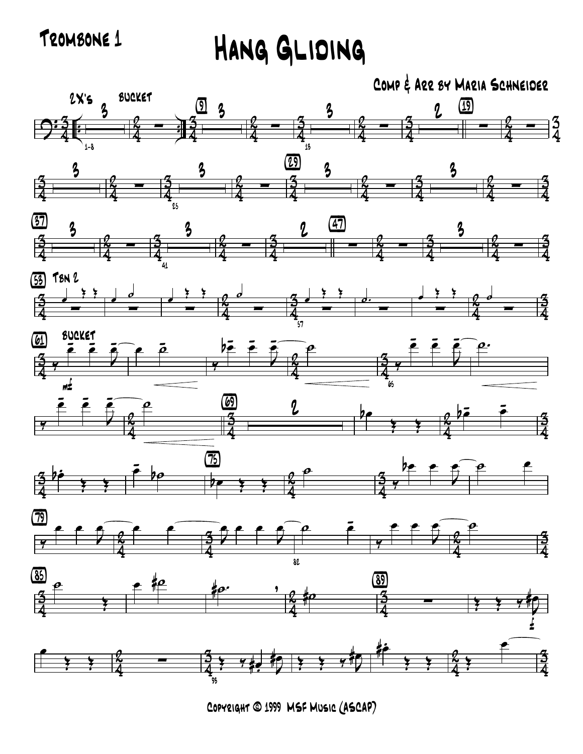TROMBONE 1 HANG GLIDING



Copyright © 1999 MSF Music (ASCAP)